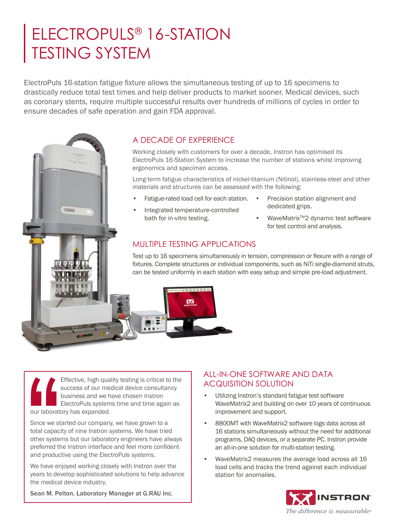# ELECTROPULS® 16-STATION TESTING SYSTEM

ElectroPuls 16-station fatigue fixture allows the simultaneous testing of up to 16 specimens to drastically reduce total test times and help deliver products to market sooner. Medical devices, such as coronary stents, require multiple successful results over hundreds of millions of cycles in order to ensure decades of safe operation and gain FDA approval.



Working closely with customers for over a decade, Instron has optimised its ElectroPuls 16-Station System to increase the number of stations whilst improving ergonomics and specimen access.

Long-term fatigue characteristics of nickel-titanium (Nitinol), stainless-steel and other materials and structures can be assessed with the following:

- Fatigue-rated load cell for each station. •
- Integrated temperature-controlled bath for in-vitro testing.
- Precision station alignment and dedicated grips.
- WaveMatrix<sup>™</sup>2 dynamic test software for test control and analysis.

# MULTIPLE TESTING APPLICATIONS

Test up to 16 specimens simultaneously in tension, compression or flexure with a range of fixtures. Complete structures or individual components, such as NiTi single-diamond struts, can be tested uniformly in each station with easy setup and simple pre-load adjustment.

 Effective, high quality testing is critical to the success of our medical device consultancy business and we have chosen lnstron ElectroPuls systems time and time again as our laboratory has expanded. Effe<br>
suce<br>
bus<br>
bus<br>
Elec<br>
our laboratory<br>
Since we starte<br>
total capacity of<br>
other systems<br>
and productive<br>
We have enjoy<br>
years to develo<br>
the modical de

Since we started our company, we have grown to a total capacity of nine Instron systems. We have tried other systems but our laboratory engineers have always preferred the lnstron interface and feel more confident and productive using the ElectroPuls systems.

We have enjoyed working closely with lnstron over the years to develop sophisticated solutions to help advance the medical device industry.

Sean M. Pelton, Laboratory Manager at G.RAU Inc.

# ALL-IN-ONE SOFTWARE AND DATA ACQUISITION SOLUTION

- Utilizing Instron's standard fatigue test software WaveMatrix2 and building on over 10 years of continuous improvement and support.
- 8800MT with WaveMatrix2 software logs data across all 16 stations simultaneously without the need for additional programs, DAQ devices, or a separate PC. Instron provide an all-in-one solution for multi-station testing.
- WaveMatrix2 measures the average load across all 16 load cells and tracks the trend against each individual station for anomalies.